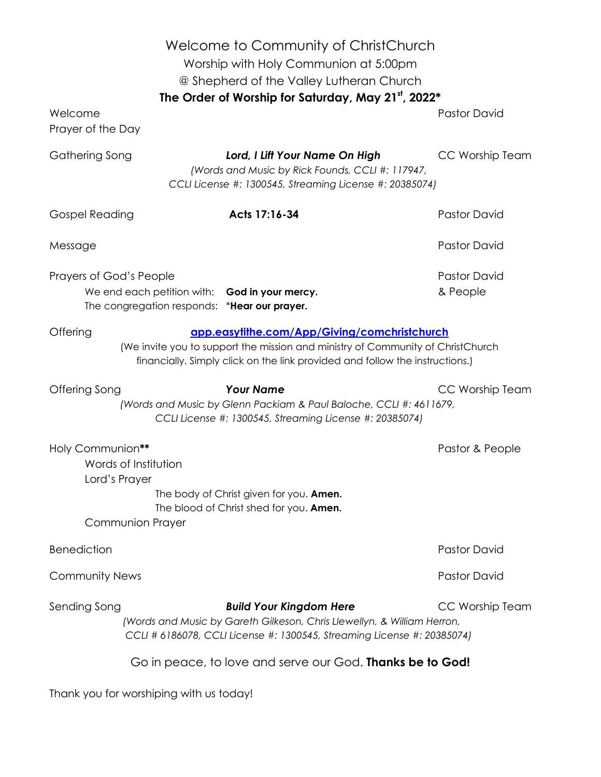| Welcome to Community of ChristChurch<br>Worship with Holy Communion at 5:00pm<br>@ Shepherd of the Valley Lutheran Church<br>The Order of Worship for Saturday, May 21st, 2022*                                             |                                                 |                                                                                                                                                                                      |                     |
|-----------------------------------------------------------------------------------------------------------------------------------------------------------------------------------------------------------------------------|-------------------------------------------------|--------------------------------------------------------------------------------------------------------------------------------------------------------------------------------------|---------------------|
| Welcome<br>Prayer of the Day                                                                                                                                                                                                |                                                 |                                                                                                                                                                                      | <b>Pastor David</b> |
| Gathering Song                                                                                                                                                                                                              |                                                 | Lord, I Lift Your Name On High<br>(Words and Music by Rick Founds, CCLI #: 117947,<br>CCLI License #: 1300545, Streaming License #: 20385074)                                        | CC Worship Team     |
| <b>Gospel Reading</b>                                                                                                                                                                                                       |                                                 | Acts 17:16-34                                                                                                                                                                        | <b>Pastor David</b> |
| Message                                                                                                                                                                                                                     |                                                 |                                                                                                                                                                                      | <b>Pastor David</b> |
| Prayers of God's People<br>We end each petition with: God in your mercy.<br>The congregation responds: *Hear our prayer.                                                                                                    |                                                 | <b>Pastor David</b><br>& People                                                                                                                                                      |                     |
| Offering<br>app.easytithe.com/App/Giving/comchristchurch<br>(We invite you to support the mission and ministry of Community of ChristChurch<br>financially. Simply click on the link provided and follow the instructions.) |                                                 |                                                                                                                                                                                      |                     |
| Offering Song                                                                                                                                                                                                               |                                                 | <b>Your Name</b><br>(Words and Music by Glenn Packiam & Paul Baloche, CCLI #: 4611679,<br>CCLI License #: 1300545, Streaming License #: 20385074)                                    | CC Worship Team     |
| Holy Communion**<br>Lord's Prayer                                                                                                                                                                                           | Words of Institution<br><b>Communion Prayer</b> | The body of Christ given for you. Amen.<br>The blood of Christ shed for you. Amen.                                                                                                   | Pastor & People     |
| <b>Benediction</b>                                                                                                                                                                                                          |                                                 |                                                                                                                                                                                      | <b>Pastor David</b> |
| <b>Community News</b>                                                                                                                                                                                                       |                                                 |                                                                                                                                                                                      | <b>Pastor David</b> |
| Sending Song                                                                                                                                                                                                                |                                                 | <b>Build Your Kingdom Here</b><br>(Words and Music by Gareth Gilkeson, Chris Llewellyn, & William Herron,<br>CCLI # 6186078, CCLI License #: 1300545, Streaming License #: 20385074) | CC Worship Team     |
| Go in peace, to love and serve our God. <b>Thanks be to God!</b>                                                                                                                                                            |                                                 |                                                                                                                                                                                      |                     |
| Thank you for worshiping with us today!                                                                                                                                                                                     |                                                 |                                                                                                                                                                                      |                     |